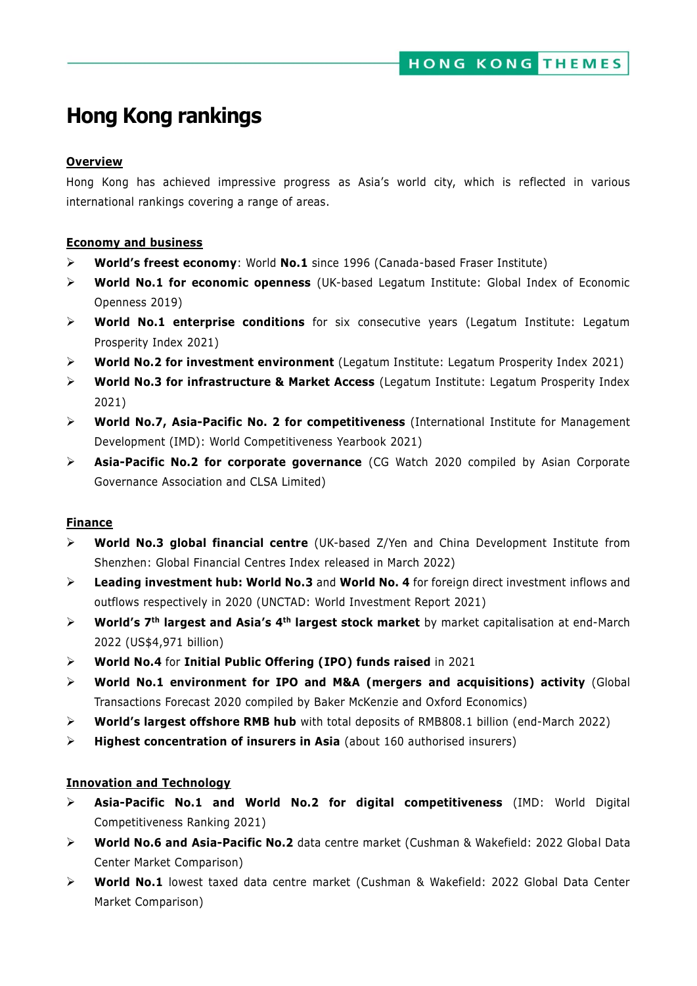# **Hong Kong rankings**

#### **Overview**

Hong Kong has achieved impressive progress as Asia's world city, which is reflected in various international rankings covering a range of areas.

#### **Economy and business**

- **World's freest economy**: World **No.1** since 1996 (Canada-based Fraser Institute)
- **World No.1 for economic openness** (UK-based Legatum Institute: Global Index of Economic Openness 2019)
- **World No.1 enterprise conditions** for six consecutive years (Legatum Institute: Legatum Prosperity Index 2021)
- **World No.2 for investment environment** (Legatum Institute: Legatum Prosperity Index 2021)
- **World No.3 for infrastructure & Market Access** (Legatum Institute: Legatum Prosperity Index 2021)
- **World No.7, Asia-Pacific No. 2 for competitiveness** (International Institute for Management Development (IMD): World Competitiveness Yearbook 2021)
- **Asia-Pacific No.2 for corporate governance** (CG Watch 2020 compiled by Asian Corporate Governance Association and CLSA Limited)

#### **Finance**

- **World No.3 global financial centre** (UK-based Z/Yen and China Development Institute from Shenzhen: Global Financial Centres Index released in March 2022)
- **Leading investment hub: World No.3** and **World No. 4** for foreign direct investment inflows and outflows respectively in 2020 (UNCTAD: World Investment Report 2021)
- **World's 7th largest and Asia's 4th largest stock market** by market capitalisation at end-March 2022 (US\$4,971 billion)
- **World No.4** for **Initial Public Offering (IPO) funds raised** in 2021
- **World No.1 environment for IPO and M&A (mergers and acquisitions) activity** (Global Transactions Forecast 2020 compiled by Baker McKenzie and Oxford Economics)
- **World's largest offshore RMB hub** with total deposits of RMB808.1 billion (end-March 2022)
- **Highest concentration of insurers in Asia** (about 160 authorised insurers)

#### **Innovation and Technology**

- **Asia-Pacific No.1 and World No.2 for digital competitiveness** (IMD: World Digital Competitiveness Ranking 2021)
- **World No.6 and Asia-Pacific No.2** data centre market (Cushman & Wakefield: 2022 Global Data Center Market Comparison)
- **World No.1** lowest taxed data centre market (Cushman & Wakefield: 2022 Global Data Center Market Comparison)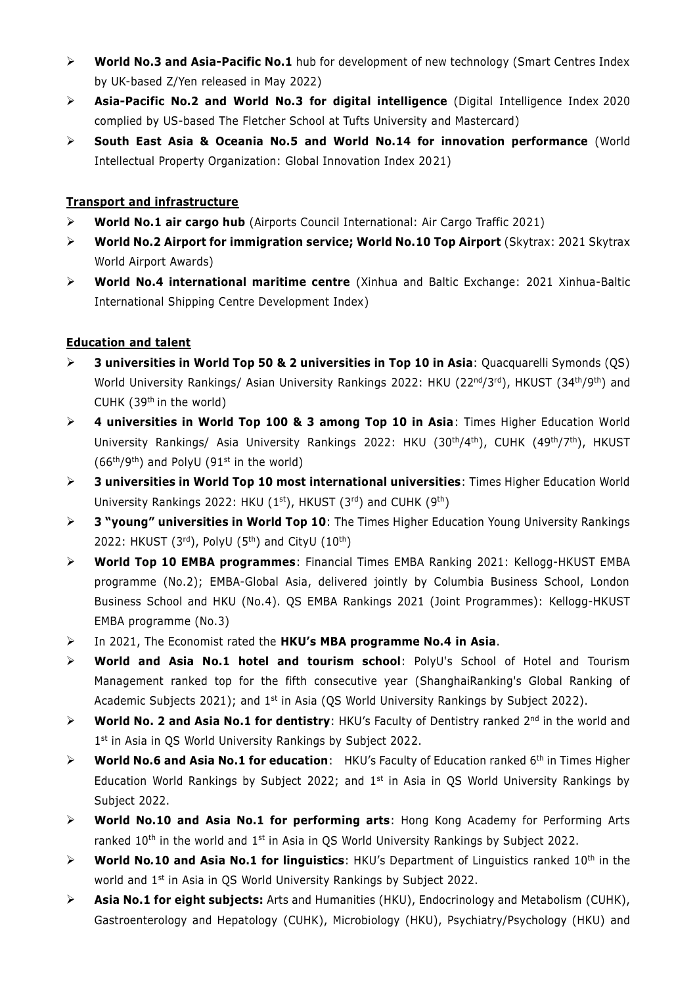- **World No.3 and Asia-Pacific No.1** hub for development of new technology (Smart Centres Index by UK-based Z/Yen released in May 2022)
- **Asia-Pacific No.2 and World No.3 for digital intelligence** (Digital Intelligence Index 2020 complied by US-based The [Fletcher School at Tufts University](https://www.facebook.com/fletcherschool/?fref=mentions&__xts__%5B0%5D=68.ARBcTLwdzOlpJ-8oplIuAxkF4v0dlM6z3GNtrUF0tKkZHqp3rpJLoDniVLXMNnZTVV-iaTU9zq_Qlq2IQ9G1uG7VY_1ztj-6QjSliuvqBtNjcmWRskHMgg2a64pSeg5N4ZeZLqG3dV_ztDrHrstTLLTc5MNnYu3au5DzqtYjopY9c3YbFsIpLCXdOYzmBD6p0FF0m6E9QujKHAhSaff607KWu5wS_TJ9rB75hmXID9sZkR4YATln1Qc9tQPdYewGYDyj2_wb9RbIuHiy0wyjosTmECnG95InXDakDbyhoE_iTl8TJ0e6N9SuogvzBBn0ZWmrtCxtK__eeFtyBQdAR_IOLC0_vHFfaPpez6swE6Pxyv9R1e1G8SlGTR3VcezsPt7OLnVE&__tn__=K-R) and Mastercard)
- **South East Asia & Oceania No.5 and World No.14 for innovation performance** (World Intellectual Property Organization: Global Innovation Index 2021)

## **Transport and infrastructure**

- **World No.1 air cargo hub** (Airports Council International: Air Cargo Traffic 2021)
- **World No.2 Airport for immigration service; World No.10 Top Airport** (Skytrax: 2021 Skytrax World Airport Awards)
- **World No.4 international maritime centre** (Xinhua and Baltic Exchange: 2021 Xinhua-Baltic International Shipping Centre Development Index)

## **Education and talent**

- **3 universities in World Top 50 & 2 universities in Top 10 in Asia**: Quacquarelli Symonds (QS) World University Rankings/ Asian University Rankings 2022: HKU (22<sup>nd</sup>/3<sup>rd</sup>), HKUST (34<sup>th</sup>/9<sup>th</sup>) and CUHK (39th in the world)
- **4 universities in World Top 100 & 3 among Top 10 in Asia**: Times Higher Education World University Rankings/ Asia University Rankings 2022: HKU (30<sup>th</sup>/4<sup>th</sup>), CUHK (49<sup>th</sup>/7<sup>th</sup>), HKUST  $(66<sup>th</sup>/9<sup>th</sup>)$  and PolyU  $(91<sup>st</sup>$  in the world)
- **3 universities in World Top 10 most international universities**: Times Higher Education World University Rankings 2022: HKU (1st), HKUST (3rd) and CUHK (9th)
- **3 "young" universities in World Top 10**: The Times Higher Education Young University Rankings 2022: HKUST  $(3<sup>rd</sup>)$ , PolyU  $(5<sup>th</sup>)$  and CityU  $(10<sup>th</sup>)$
- **World Top 10 EMBA programmes**: Financial Times EMBA Ranking 2021: Kellogg-HKUST EMBA programme (No.2); EMBA-Global Asia, delivered jointly by Columbia Business School, London Business School and HKU (No.4). QS EMBA Rankings 2021 (Joint Programmes): Kellogg-HKUST EMBA programme (No.3)
- In 2021, The Economist rated the **HKU's MBA programme No.4 in Asia**.
- **World and Asia No.1 hotel and tourism school**: PolyU's School of Hotel and Tourism Management ranked top for the fifth consecutive year (ShanghaiRanking's Global Ranking of Academic Subjects 2021); and 1<sup>st</sup> in Asia (QS World University Rankings by Subject 2022).
- **EXECT Morld No. 2 and Asia No.1 for dentistry:** HKU's Faculty of Dentistry ranked 2<sup>nd</sup> in the world and 1<sup>st</sup> in Asia in QS World University Rankings by Subject 2022.
- **EXECT Morld No.6 and Asia No.1 for education:** HKU's Faculty of Education ranked 6<sup>th</sup> in Times Higher Education World Rankings by Subject 2022; and 1<sup>st</sup> in Asia in QS World University Rankings by Subject 2022.
- **World No.10 and Asia No.1 for performing arts**: Hong Kong Academy for Performing Arts ranked 10<sup>th</sup> in the world and 1<sup>st</sup> in Asia in QS World University Rankings by Subject 2022.
- **World No***.***10 and Asia No.1 for linguistics**: HKU's Department of Linguistics ranked 10th in the world and 1st in Asia in QS World University Rankings by Subject 2022.
- **Asia No.1 for eight subjects:** Arts and Humanities (HKU), Endocrinology and Metabolism (CUHK), Gastroenterology and Hepatology (CUHK), Microbiology (HKU), Psychiatry/Psychology (HKU) and